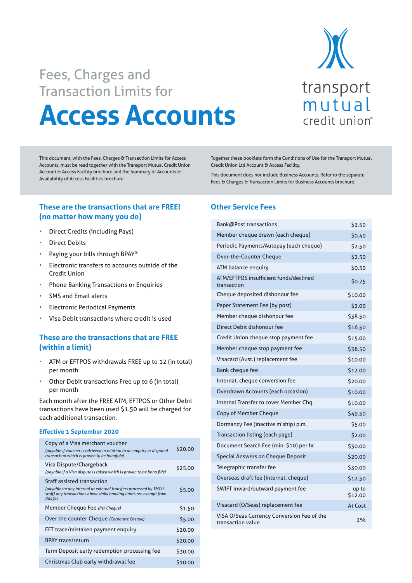

# **Access Accounts** Fees, Charges and Transaction Limits for

This document, with the Fees, Charges & Transaction Limits for Access Accounts, must be read together with the Transport Mutual Credit Union Account & Access Facility brochure and the Summary of Accounts & Availability of Access Facilities brochure.

**These are the transactions that are FREE! (no matter how many you do)**

- Direct Credits (including Pays)
- Direct Debits
- Paying your bills through BPAY®
- Electronic transfers to accounts outside of the Credit Union
- Phone Banking Transactions or Enquiries
- SMS and Email alerts
- Electronic Periodical Payments
- Visa Debit transactions where credit is used

## **These are the transactions that are FREE (within a limit)**

- ATM or EFTPOS withdrawals FREE up to 12 (in total) per month
- Other Debit transactions Free up to 6 (in total) per month

Each month after the FREE ATM, EFTPOS or Other Debit transactions have been used \$1.50 will be charged for each additional transaction.

#### **Effective 1 September 2020**

| Copy of a Visa merchant voucher<br>(payable if voucher is retrieved in relation to an enguiry or disputed<br>transaction which is proven to be bonafide)                                | \$20.00 |
|-----------------------------------------------------------------------------------------------------------------------------------------------------------------------------------------|---------|
| Visa Dispute/Chargeback<br>(payable if a Visa dispute is raised which is proven to be bona fide)                                                                                        | \$25.00 |
| <b>Staff assisted transaction</b><br>(payable on any internal or external transfers processed by TMCU<br>staff) any transactions above daily banking limits are exempt from<br>this fee | \$5.00  |
| Member Cheque Fee (Per Cheque)                                                                                                                                                          | \$1.50  |
| Over the counter Cheque (Corporate Cheque)                                                                                                                                              | \$5.00  |
| EFT trace/mistaken payment enquiry                                                                                                                                                      | \$20.00 |
| <b>BPAY trace/return</b>                                                                                                                                                                | \$20.00 |
| Term Deposit early redemption processing fee                                                                                                                                            | \$30.00 |
| Christmas Club early withdrawal fee                                                                                                                                                     | \$10.00 |

Together these booklets form the Conditions of Use for the Transport Mutual Credit Union Ltd Account & Access Facility.

This document does not include Business Accounts. Refer to the separate Fees & Charges & Transaction Limits for Business Accounts brochure.

#### **Other Service Fees**

| Bank@Post transactions                                          | \$2.50           |
|-----------------------------------------------------------------|------------------|
| Member cheque drawn (each cheque)                               | \$0.40           |
| Periodic Payments/Autopay (each cheque)                         | \$2.50           |
| Over-the-Counter Cheque                                         | \$2.50           |
| ATM balance enquiry                                             | \$0.50           |
| ATM/EFTPOS insufficient funds/declined<br>transaction           | \$0.25           |
| Cheque deposited dishonour fee                                  | \$10.00          |
| Paper Statement Fee (by post)                                   | \$2.00           |
| Member cheque dishonour fee                                     | \$38.50          |
| Direct Debit dishonour fee                                      | \$16.50          |
| Credit Union cheque stop payment fee                            | \$15.00          |
| Member cheque stop payment fee                                  | \$38.50          |
| Visacard (Aust.) replacement fee                                | \$10.00          |
| <b>Bank cheque fee</b>                                          | \$12.00          |
| Internat. cheque conversion fee                                 | \$20.00          |
| Overdrawn Accounts (each occasion)                              | \$10.00          |
| Internal Transfer to cover Member Chg.                          | \$10.00          |
| Copy of Member Cheque                                           | \$49.50          |
| Dormancy Fee (inactive m'ship) p.m.                             | \$5.00           |
| Transaction listing (each page)                                 | \$2.00           |
| Document Search Fee (min. \$10) per hr.                         | \$30.00          |
| Special Answers on Cheque Deposit                               | \$20.00          |
| Telegraphic transfer fee                                        | \$30.00          |
| Overseas draft fee (Internat. cheque)                           | \$12.50          |
| SWIFT inward/outward payment fee                                | up to<br>\$12.00 |
| Visacard (O/Seas) replacement fee                               | At Cost          |
| VISA O/Seas Currency Conversion Fee of the<br>transaction value | 2%               |